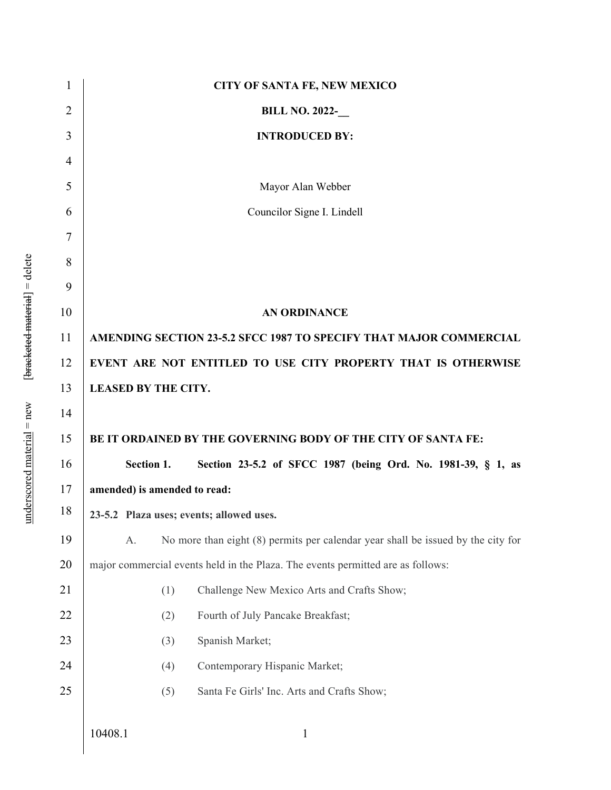| 1              | <b>CITY OF SANTA FE, NEW MEXICO</b>                                                      |
|----------------|------------------------------------------------------------------------------------------|
| 2              | <b>BILL NO. 2022-</b>                                                                    |
| 3              | <b>INTRODUCED BY:</b>                                                                    |
| $\overline{4}$ |                                                                                          |
| 5              | Mayor Alan Webber                                                                        |
| 6              | Councilor Signe I. Lindell                                                               |
| $\tau$         |                                                                                          |
| 8              |                                                                                          |
| 9              |                                                                                          |
| 10             | <b>AN ORDINANCE</b>                                                                      |
| 11             | AMENDING SECTION 23-5.2 SFCC 1987 TO SPECIFY THAT MAJOR COMMERCIAL                       |
| 12             | EVENT ARE NOT ENTITLED TO USE CITY PROPERTY THAT IS OTHERWISE                            |
| 13             | <b>LEASED BY THE CITY.</b>                                                               |
| 14             |                                                                                          |
| 15             | BE IT ORDAINED BY THE GOVERNING BODY OF THE CITY OF SANTA FE:                            |
| 16             | Section 1.<br>Section 23-5.2 of SFCC 1987 (being Ord. No. 1981-39, § 1, as               |
| 17             | amended) is amended to read:                                                             |
| 18             | 23-5.2 Plaza uses; events; allowed uses.                                                 |
| 19             | No more than eight $(8)$ permits per calendar year shall be issued by the city for<br>A. |
| 20             | major commercial events held in the Plaza. The events permitted are as follows:          |
| 21             | (1)<br>Challenge New Mexico Arts and Crafts Show;                                        |
| 22             | Fourth of July Pancake Breakfast;<br>(2)                                                 |
| 23             | Spanish Market;<br>(3)                                                                   |
| 24             | (4)<br>Contemporary Hispanic Market;                                                     |
| 25             | (5)<br>Santa Fe Girls' Inc. Arts and Crafts Show;                                        |
|                | 10408.1<br>$\mathbf{1}$                                                                  |

 $underscored material = new$  [ $<sup>1</sup>$  [bracketed-material] = delete</sup> underscored material = new [bracketed material] = delete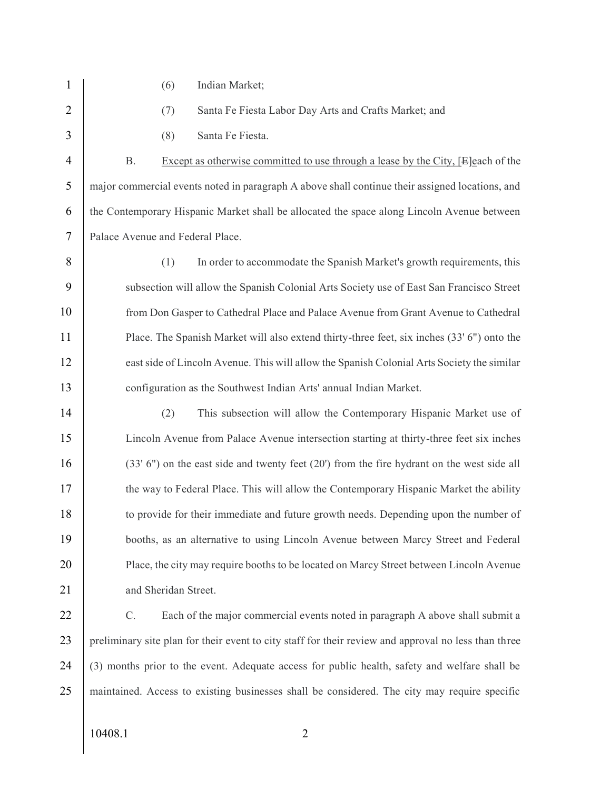1 (6) Indian Market; 2 (7) Santa Fe Fiesta Labor Day Arts and Crafts Market; and 3 (8) Santa Fe Fiesta. 4 B. Except as otherwise committed to use through a lease by the City, [E]each of the 5 major commercial events noted in paragraph A above shall continue their assigned locations, and 6 the Contemporary Hispanic Market shall be allocated the space along Lincoln Avenue between 7 Palace Avenue and Federal Place. 8 (1) In order to accommodate the Spanish Market's growth requirements, this 9 subsection will allow the Spanish Colonial Arts Society use of East San Francisco Street 10 from Don Gasper to Cathedral Place and Palace Avenue from Grant Avenue to Cathedral 11 Place. The Spanish Market will also extend thirty-three feet, six inches (33' 6") onto the 12 east side of Lincoln Avenue. This will allow the Spanish Colonial Arts Society the similar 13 configuration as the Southwest Indian Arts' annual Indian Market. 14 (2) This subsection will allow the Contemporary Hispanic Market use of 15 Lincoln Avenue from Palace Avenue intersection starting at thirty-three feet six inches 16 (33' 6") on the east side and twenty feet (20') from the fire hydrant on the west side all 17 the way to Federal Place. This will allow the Contemporary Hispanic Market the ability 18 to provide for their immediate and future growth needs. Depending upon the number of 19 booths, as an alternative to using Lincoln Avenue between Marcy Street and Federal 20 Place, the city may require booths to be located on Marcy Street between Lincoln Avenue 21 and Sheridan Street. 22 C. Each of the major commercial events noted in paragraph A above shall submit a 23 preliminary site plan for their event to city staff for their review and approval no less than three 24 (3) months prior to the event. Adequate access for public health, safety and welfare shall be 25 maintained. Access to existing businesses shall be considered. The city may require specific

10408.1 2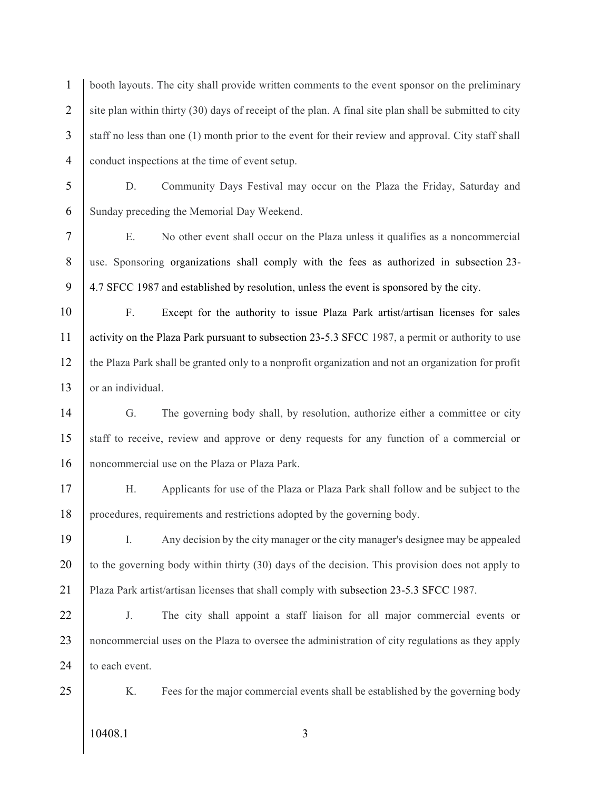1 booth layouts. The city shall provide written comments to the event sponsor on the preliminary 2 site plan within thirty  $(30)$  days of receipt of the plan. A final site plan shall be submitted to city 3 staff no less than one (1) month prior to the event for their review and approval. City staff shall 4 conduct inspections at the time of event setup.

5 D. Community Days Festival may occur on the Plaza the Friday, Saturday and 6 Sunday preceding the Memorial Day Weekend.

7 E. No other event shall occur on the Plaza unless it qualifies as a noncommercial 8 use. Sponsoring organizations shall comply with the fees as authorized in subsection 23-9 4.7 SFCC 1987 and established by resolution, unless the event is sponsored by the city.

10 F. Except for the authority to issue Plaza Park artist/artisan licenses for sales 11 activity on the Plaza Park pursuant to subsection 23-5.3 SFCC 1987, a permit or authority to use 12 the Plaza Park shall be granted only to a nonprofit organization and not an organization for profit 13 or an individual.

14 G. The governing body shall, by resolution, authorize either a committee or city 15 staff to receive, review and approve or deny requests for any function of a commercial or 16 noncommercial use on the Plaza or Plaza Park.

17 H. Applicants for use of the Plaza or Plaza Park shall follow and be subject to the 18 procedures, requirements and restrictions adopted by the governing body.

19 I. Any decision by the city manager or the city manager's designee may be appealed 20 to the governing body within thirty (30) days of the decision. This provision does not apply to 21 Plaza Park artist/artisan licenses that shall comply with subsection 23-5.3 SFCC 1987.

22 J. The city shall appoint a staff liaison for all major commercial events or 23 noncommercial uses on the Plaza to oversee the administration of city regulations as they apply 24 to each event.

25 | K. Fees for the major commercial events shall be established by the governing body

10408.1 3